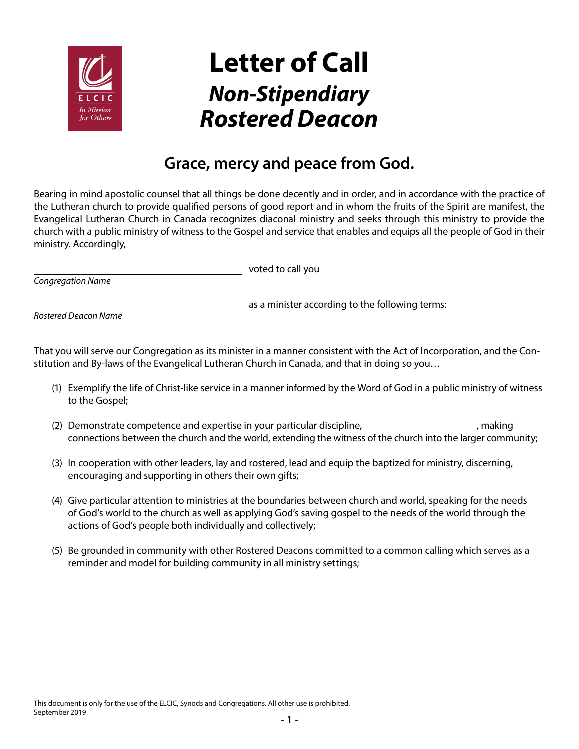

## **Letter of Call** *Non-Stipendiary Rostered Deacon*

## **Grace, mercy and peace from God.**

Bearing in mind apostolic counsel that all things be done decently and in order, and in accordance with the practice of the Lutheran church to provide qualified persons of good report and in whom the fruits of the Spirit are manifest, the Evangelical Lutheran Church in Canada recognizes diaconal ministry and seeks through this ministry to provide the church with a public ministry of witness to the Gospel and service that enables and equips all the people of God in their ministry. Accordingly,

 $\equiv$  as a minister according to the following terms:

voted to call you

*Rostered Deacon Name*

*Congregation Name*

That you will serve our Congregation as its minister in a manner consistent with the Act of Incorporation, and the Constitution and By-laws of the Evangelical Lutheran Church in Canada, and that in doing so you…

- (1) Exemplify the life of Christ-like service in a manner informed by the Word of God in a public ministry of witness to the Gospel;
- (2) Demonstrate competence and expertise in your particular discipline, 1990 Marting, 1990, making connections between the church and the world, extending the witness of the church into the larger community;
- (3) In cooperation with other leaders, lay and rostered, lead and equip the baptized for ministry, discerning, encouraging and supporting in others their own gifts;
- (4) Give particular attention to ministries at the boundaries between church and world, speaking for the needs of God's world to the church as well as applying God's saving gospel to the needs of the world through the actions of God's people both individually and collectively;
- (5) Be grounded in community with other Rostered Deacons committed to a common calling which serves as a reminder and model for building community in all ministry settings;